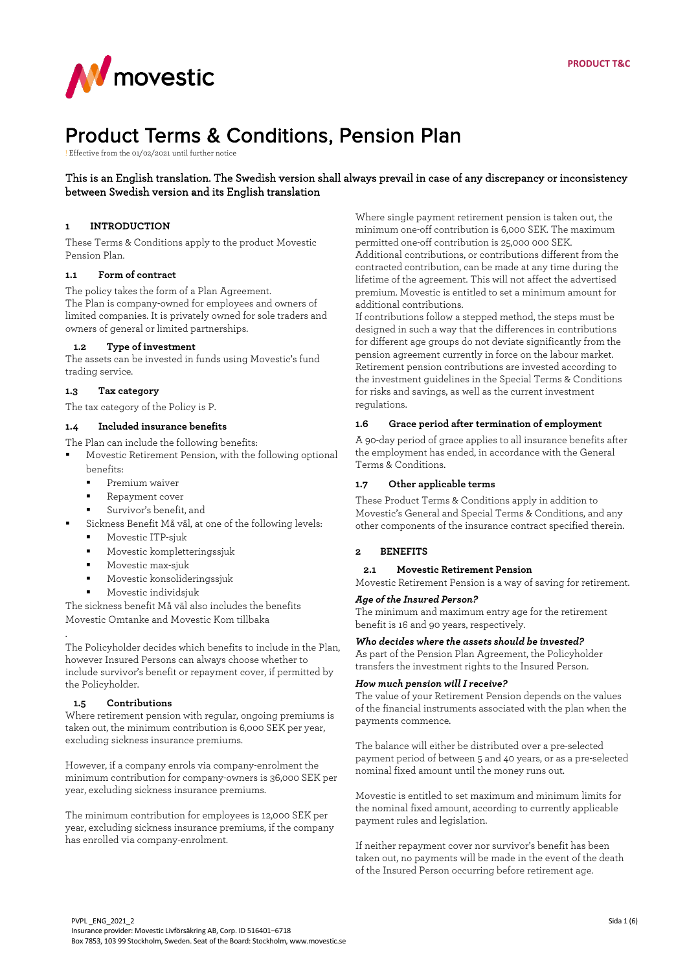

# Product Terms & Conditions, Pension Plan

! Effective from the 01/02/2021 until further notice

## This is an English translation. The Swedish version shall always prevail in case of any discrepancy or inconsistency between Swedish version and its English translation

## **1 INTRODUCTION**

These Terms & Conditions apply to the product Movestic Pension Plan.

#### **1.1 Form of contract**

The policy takes the form of a Plan Agreement. The Plan is company-owned for employees and owners of limited companies. It is privately owned for sole traders and owners of general or limited partnerships.

## **1.2 Type of investment**

The assets can be invested in funds using Movestic's fund trading service.

#### **1.3 Tax category**

The tax category of the Policy is P.

#### **1.4 Included insurance benefits**

The Plan can include the following benefits:

 Movestic Retirement Pension, with the following optional benefits:

- Premium waiver
- Repayment cover
- Survivor's benefit, and
- Sickness Benefit Må väl, at one of the following levels:
- Movestic ITP-sjuk
- Movestic kompletteringssjuk
- Movestic max-sjuk
- Movestic konsolideringssjuk
- Movestic individsjuk

The sickness benefit Må väl also includes the benefits Movestic Omtanke and Movestic Kom tillbaka

The Policyholder decides which benefits to include in the Plan, however Insured Persons can always choose whether to include survivor's benefit or repayment cover, if permitted by the Policyholder.

#### **1.5 Contributions**

.

Where retirement pension with regular, ongoing premiums is taken out, the minimum contribution is 6,000 SEK per year, excluding sickness insurance premiums.

However, if a company enrols via company-enrolment the minimum contribution for company-owners is 36,000 SEK per year, excluding sickness insurance premiums.

The minimum contribution for employees is 12,000 SEK per year, excluding sickness insurance premiums, if the company has enrolled via company-enrolment.

Where single payment retirement pension is taken out, the minimum one-off contribution is 6,000 SEK. The maximum permitted one-off contribution is 25,000 000 SEK. Additional contributions, or contributions different from the contracted contribution, can be made at any time during the lifetime of the agreement. This will not affect the advertised premium. Movestic is entitled to set a minimum amount for additional contributions.

If contributions follow a stepped method, the steps must be designed in such a way that the differences in contributions for different age groups do not deviate significantly from the pension agreement currently in force on the labour market. Retirement pension contributions are invested according to the investment guidelines in the Special Terms & Conditions for risks and savings, as well as the current investment regulations.

#### **1.6 Grace period after termination of employment**

A 90-day period of grace applies to all insurance benefits after the employment has ended, in accordance with the General Terms & Conditions.

#### **1.7 Other applicable terms**

These Product Terms & Conditions apply in addition to Movestic's General and Special Terms & Conditions, and any other components of the insurance contract specified therein.

## **2 BENEFITS**

**2.1 Movestic Retirement Pension**

Movestic Retirement Pension is a way of saving for retirement.

#### *Age of the Insured Person?*

The minimum and maximum entry age for the retirement benefit is 16 and 90 years, respectively.

#### *Who decides where the assets should be invested?*

As part of the Pension Plan Agreement, the Policyholder transfers the investment rights to the Insured Person.

#### *How much pension will I receive?*

The value of your Retirement Pension depends on the values of the financial instruments associated with the plan when the payments commence.

The balance will either be distributed over a pre-selected payment period of between 5 and 40 years, or as a pre-selected nominal fixed amount until the money runs out.

Movestic is entitled to set maximum and minimum limits for the nominal fixed amount, according to currently applicable payment rules and legislation.

If neither repayment cover nor survivor's benefit has been taken out, no payments will be made in the event of the death of the Insured Person occurring before retirement age.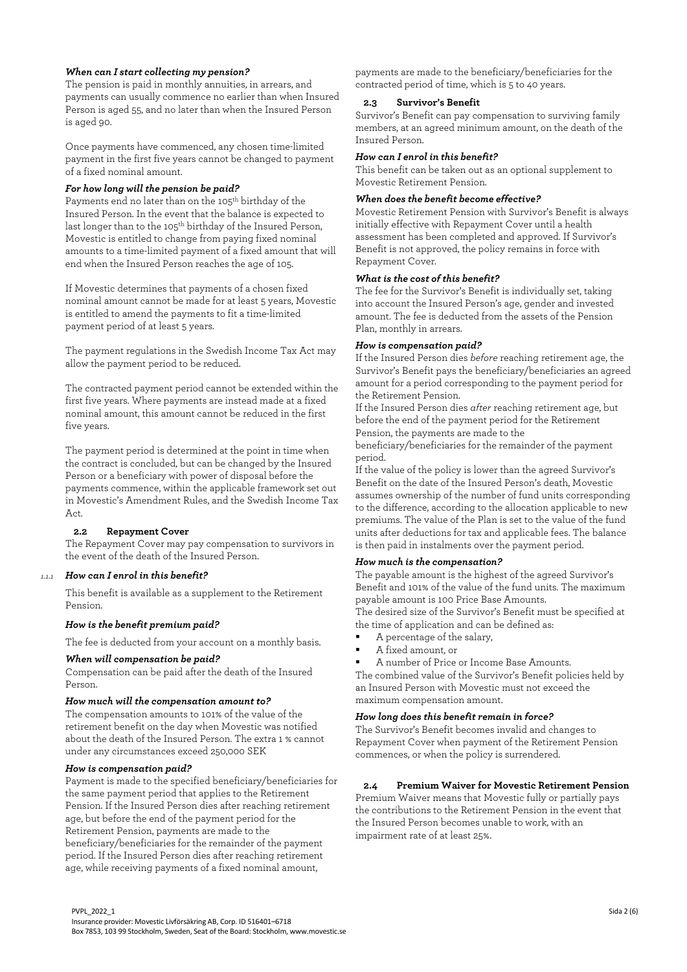# *When can I start collecting my pension?*

The pension is paid in monthly annuities, in arrears, and payments can usually commence no earlier than when Insured Person is aged 55, and no later than when the Insured Person is aged 90.

Once payments have commenced, any chosen time-limited payment in the first five years cannot be changed to payment of a fixed nominal amount.

#### *For how long will the pension be paid?*

Payments end no later than on the 105<sup>th</sup> birthday of the Insured Person. In the event that the balance is expected to last longer than to the 105<sup>th</sup> birthday of the Insured Person, Movestic is entitled to change from paying fixed nominal amounts to a time-limited payment of a fixed amount that will end when the Insured Person reaches the age of 105.

If Movestic determines that payments of a chosen fixed nominal amount cannot be made for at least 5 years, Movestic is entitled to amend the payments to fit a time-limited payment period of at least 5 years.

The payment regulations in the Swedish Income Tax Act may allow the payment period to be reduced.

The contracted payment period cannot be extended within the first five years. Where payments are instead made at a fixed nominal amount, this amount cannot be reduced in the first five years.

The payment period is determined at the point in time when the contract is concluded, but can be changed by the Insured Person or a beneficiary with power of disposal before the payments commence, within the applicable framework set out in Movestic's Amendment Rules, and the Swedish Income Tax Act.

#### **2.2 Repayment Cover**

The Repayment Cover may pay compensation to survivors in the event of the death of the Insured Person.

## *1.1.1 How can I enrol in this benefit?*

This benefit is available as a supplement to the Retirement Pension.

## *How is the benefit premium paid?*

The fee is deducted from your account on a monthly basis.

#### *When will compensation be paid?*

Compensation can be paid after the death of the Insured Person.

#### *How much will the compensation amount to?*

The compensation amounts to 101% of the value of the retirement benefit on the day when Movestic was notified about the death of the Insured Person. The extra 1 % cannot under any circumstances exceed 250,000 SEK

## *How is compensation paid?*

Payment is made to the specified beneficiary/beneficiaries for the same payment period that applies to the Retirement Pension. If the Insured Person dies after reaching retirement age, but before the end of the payment period for the Retirement Pension, payments are made to the beneficiary/beneficiaries for the remainder of the payment period. If the Insured Person dies after reaching retirement age, while receiving payments of a fixed nominal amount,

payments are made to the beneficiary/beneficiaries for the contracted period of time, which is 5 to 40 years.

## **2.3 Survivor's Benefit**

Survivor's Benefit can pay compensation to surviving family members, at an agreed minimum amount, on the death of the Insured Person.

## *How can I enrol in this benefit?*

This benefit can be taken out as an optional supplement to Movestic Retirement Pension.

## *When does the benefit become effective?*

Movestic Retirement Pension with Survivor's Benefit is always initially effective with Repayment Cover until a health assessment has been completed and approved. If Survivor's Benefit is not approved, the policy remains in force with Repayment Cover.

#### *What is the cost of this benefit?*

The fee for the Survivor's Benefit is individually set, taking into account the Insured Person's age, gender and invested amount. The fee is deducted from the assets of the Pension Plan, monthly in arrears.

## *How is compensation paid?*

If the Insured Person dies *before* reaching retirement age, the Survivor's Benefit pays the beneficiary/beneficiaries an agreed amount for a period corresponding to the payment period for the Retirement Pension.

If the Insured Person dies *after* reaching retirement age, but before the end of the payment period for the Retirement Pension, the payments are made to the

beneficiary/beneficiaries for the remainder of the payment period.

If the value of the policy is lower than the agreed Survivor's Benefit on the date of the Insured Person's death, Movestic assumes ownership of the number of fund units corresponding to the difference, according to the allocation applicable to new premiums. The value of the Plan is set to the value of the fund units after deductions for tax and applicable fees. The balance is then paid in instalments over the payment period.

## *How much is the compensation?*

The payable amount is the highest of the agreed Survivor's Benefit and 101% of the value of the fund units. The maximum payable amount is 100 Price Base Amounts.

The desired size of the Survivor's Benefit must be specified at the time of application and can be defined as:

- A percentage of the salary,
- A fixed amount, or
- A number of Price or Income Base Amounts.

The combined value of the Survivor's Benefit policies held by an Insured Person with Movestic must not exceed the maximum compensation amount.

## *How long does this benefit remain in force?*

The Survivor's Benefit becomes invalid and changes to Repayment Cover when payment of the Retirement Pension commences, or when the policy is surrendered.

## **2.4 Premium Waiver for Movestic Retirement Pension**

Premium Waiver means that Movestic fully or partially pays the contributions to the Retirement Pension in the event that the Insured Person becomes unable to work, with an impairment rate of at least 25%.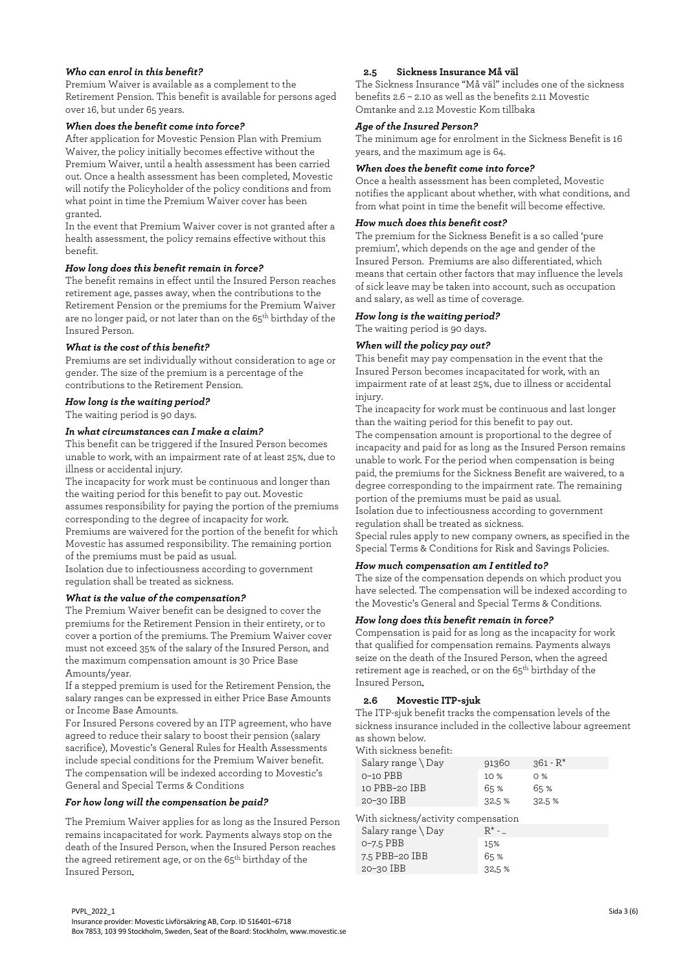## *Who can enrol in this benefit?*

Premium Waiver is available as a complement to the Retirement Pension. This benefit is available for persons aged over 16, but under 65 years.

#### *When does the benefit come into force?*

After application for Movestic Pension Plan with Premium Waiver, the policy initially becomes effective without the Premium Waiver, until a health assessment has been carried out. Once a health assessment has been completed, Movestic will notify the Policyholder of the policy conditions and from what point in time the Premium Waiver cover has been granted.

In the event that Premium Waiver cover is not granted after a health assessment, the policy remains effective without this benefit.

## *How long does this benefit remain in force?*

The benefit remains in effect until the Insured Person reaches retirement age, passes away, when the contributions to the Retirement Pension or the premiums for the Premium Waiver are no longer paid, or not later than on the 65<sup>th</sup> birthday of the Insured Person.

## *What is the cost of this benefit?*

Premiums are set individually without consideration to age or gender. The size of the premium is a percentage of the contributions to the Retirement Pension.

#### *How long is the waiting period?*

The waiting period is 90 days.

#### *In what circumstances can I make a claim?*

This benefit can be triggered if the Insured Person becomes unable to work, with an impairment rate of at least 25%, due to illness or accidental injury.

The incapacity for work must be continuous and longer than the waiting period for this benefit to pay out. Movestic assumes responsibility for paying the portion of the premiums corresponding to the degree of incapacity for work.

Premiums are waivered for the portion of the benefit for which Movestic has assumed responsibility. The remaining portion of the premiums must be paid as usual.

Isolation due to infectiousness according to government regulation shall be treated as sickness.

#### *What is the value of the compensation?*

The Premium Waiver benefit can be designed to cover the premiums for the Retirement Pension in their entirety, or to cover a portion of the premiums. The Premium Waiver cover must not exceed 35% of the salary of the Insured Person, and the maximum compensation amount is 30 Price Base Amounts/year.

If a stepped premium is used for the Retirement Pension, the salary ranges can be expressed in either Price Base Amounts or Income Base Amounts.

For Insured Persons covered by an ITP agreement, who have agreed to reduce their salary to boost their pension (salary sacrifice), Movestic's General Rules for Health Assessments include special conditions for the Premium Waiver benefit. The compensation will be indexed according to Movestic's General and Special Terms & Conditions

#### *For how long will the compensation be paid?*

The Premium Waiver applies for as long as the Insured Person remains incapacitated for work. Payments always stop on the death of the Insured Person, when the Insured Person reaches the agreed retirement age, or on the 65<sup>th</sup> birthday of the Insured Person.

## **2.5 Sickness Insurance Må väl**

The Sickness Insurance "Må väl" includes one of the sickness benefits 2.6 – 2.10 as well as the benefits 2.11 Movestic Omtanke and 2.12 Movestic Kom tillbaka

## *Age of the Insured Person?*

The minimum age for enrolment in the Sickness Benefit is 16 years, and the maximum age is 64.

#### *When does the benefit come into force?*

Once a health assessment has been completed, Movestic notifies the applicant about whether, with what conditions, and from what point in time the benefit will become effective.

## *How much does this benefit cost?*

The premium for the Sickness Benefit is a so called 'pure premium', which depends on the age and gender of the Insured Person. Premiums are also differentiated, which means that certain other factors that may influence the levels of sick leave may be taken into account, such as occupation and salary, as well as time of coverage.

#### *How long is the waiting period?*

The waiting period is 90 days.

## *When will the policy pay out?*

This benefit may pay compensation in the event that the Insured Person becomes incapacitated for work, with an impairment rate of at least 25%, due to illness or accidental injury.

The incapacity for work must be continuous and last longer than the waiting period for this benefit to pay out. The compensation amount is proportional to the degree of incapacity and paid for as long as the Insured Person remains unable to work. For the period when compensation is being paid, the premiums for the Sickness Benefit are waivered, to a degree corresponding to the impairment rate. The remaining portion of the premiums must be paid as usual.

Isolation due to infectiousness according to government regulation shall be treated as sickness.

Special rules apply to new company owners, as specified in the Special Terms & Conditions for Risk and Savings Policies.

## *How much compensation am I entitled to?*

The size of the compensation depends on which product you have selected. The compensation will be indexed according to the Movestic's General and Special Terms & Conditions.

#### *How long does this benefit remain in force?*

Compensation is paid for as long as the incapacity for work that qualified for compensation remains. Payments always seize on the death of the Insured Person, when the agreed retirement age is reached, or on the 65<sup>th</sup> birthday of the Insured Person.

#### **2.6 Movestic ITP-sjuk**

The ITP-sjuk benefit tracks the compensation levels of the sickness insurance included in the collective labour agreement as shown below.

| With sickness benefit:              |         |             |
|-------------------------------------|---------|-------------|
| Salary range $\Box$ Day             | 91360   | $361 - R^*$ |
| $O-1O$ PBB                          | 10 %    | $0\%$       |
| 10 PBB-20 IBB                       | 65 %    | 65 %        |
| 20-30 IBB                           | 32.5 %  | 32.5 %      |
| With sickness/activity compensation |         |             |
| Salary range \ Day                  | $R^*$ - |             |
| o-7.5 PBB                           | 15%     |             |
| 7.5 PBB-20 IBB                      | 65%     |             |

20–30 IBB 32,5 %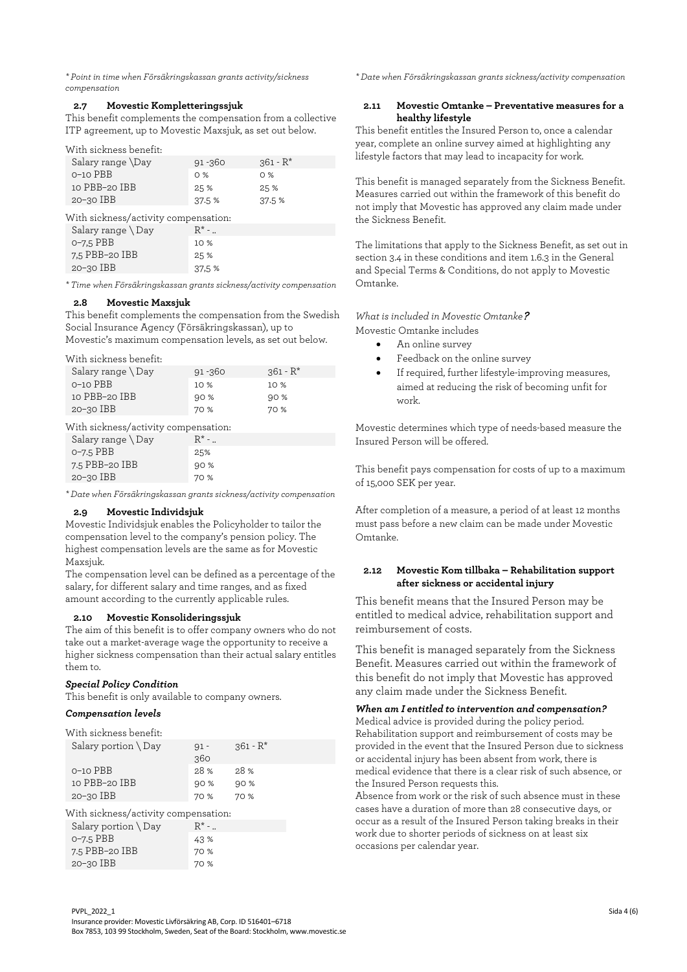*\* Point in time when Försäkringskassan grants activity/sickness compensation*

#### **2.7 Movestic Kompletteringssjuk**

This benefit complements the compensation from a collective ITP agreement, up to Movestic Maxsjuk, as set out below.

With sickness benefit:

| Salary range \Day                                                                                                                                                                                                                                                                                                                                        | $91 - 360$ | $.361 - R^*$ |
|----------------------------------------------------------------------------------------------------------------------------------------------------------------------------------------------------------------------------------------------------------------------------------------------------------------------------------------------------------|------------|--------------|
| $O-1O$ PBB                                                                                                                                                                                                                                                                                                                                               | O%         | O%           |
| 10 PBB-20 IBB                                                                                                                                                                                                                                                                                                                                            | 25 %       | 25 %         |
| $20 - 30$ IBB                                                                                                                                                                                                                                                                                                                                            | 37.5 %     | 37.5 %       |
| $\tau$ , $\tau$ , $\tau$ , $\tau$ , $\tau$ , $\tau$ , $\tau$ , $\tau$ , $\tau$ , $\tau$ , $\tau$ , $\tau$ , $\tau$ , $\tau$ , $\tau$ , $\tau$ , $\tau$ , $\tau$ , $\tau$ , $\tau$ , $\tau$ , $\tau$ , $\tau$ , $\tau$ , $\tau$ , $\tau$ , $\tau$ , $\tau$ , $\tau$ , $\tau$ , $\tau$ , $\tau$ , $\tau$ , $\tau$ , $\tau$ , $\tau$ , $\tau$ ,<br>$\prime$ |            |              |

With sickness/activity compensation:

| Salary range $\Box$ Day | $R^*$ - $\ldots$ |
|-------------------------|------------------|
| $O - 7.5$ PBB           | 10%              |
| 7.5 PBB-20 IBB          | 25 %             |
| $20 - 30$ IBB           | 37.5 %           |
|                         |                  |

*\* Time when Försäkringskassan grants sickness/activity compensation*

## **2.8 Movestic Maxsjuk**

This benefit complements the compensation from the Swedish Social Insurance Agency (Försäkringskassan), up to Movestic's maximum compensation levels, as set out below.

With sickness benefit:

| Salary range $\Box$ Day | $91 - 360$ | $.361 - R^*$ |
|-------------------------|------------|--------------|
| $O-1O$ PBB              | $10\%$     | 10%          |
| 10 PBB-20 IBB           | 90%        | 90 %         |
| $20 - 30$ IBB           | 70 %       | 70 %         |
|                         |            |              |

With sickness/activity compensation:

| $R^*$ - |
|---------|
| 25%     |
| 90 %    |
| 70 %    |
|         |

*\* Date when Försäkringskassan grants sickness/activity compensation*

# **2.9 Movestic Individsjuk**

Movestic Individsjuk enables the Policyholder to tailor the compensation level to the company's pension policy. The highest compensation levels are the same as for Movestic Maxsjuk.

The compensation level can be defined as a percentage of the salary, for different salary and time ranges, and as fixed amount according to the currently applicable rules.

#### **2.10 Movestic Konsolideringssjuk**

The aim of this benefit is to offer company owners who do not take out a market-average wage the opportunity to receive a higher sickness compensation than their actual salary entitles them to.

#### *Special Policy Condition*

This benefit is only available to company owners.

# *Compensation levels*

With sickness benefit: Salary portion  $\log$  91 -360  $361 - R*$ 0–10 PBB 28 % 28 % 10 PBB–20 IBB 90 % 90 % 20–30 IBB 70 % 70 %

With sickness/activity compensation:

| Salary portion $\Box$ Day | $R^*$ - $\overline{a}$ |
|---------------------------|------------------------|
| $O - 7.5$ PBB             | 43 %                   |
| 7.5 PBB-20 IBB            | 70 %                   |
| $20 - 30$ IBB             | 70 %                   |

*\* Date when Försäkringskassan grants sickness/activity compensation*

## **2.11 Movestic Omtanke – Preventative measures for a healthy lifestyle**

This benefit entitles the Insured Person to, once a calendar year, complete an online survey aimed at highlighting any lifestyle factors that may lead to incapacity for work.

This benefit is managed separately from the Sickness Benefit. Measures carried out within the framework of this benefit do not imply that Movestic has approved any claim made under the Sickness Benefit.

The limitations that apply to the Sickness Benefit, as set out in section 3.4 in these conditions and item 1.6.3 in the General and Special Terms & Conditions, do not apply to Movestic Omtanke.

# *What is included in Movestic Omtanke*?

Movestic Omtanke includes

- An online survey
- Feedback on the online survey
- If required, further lifestyle-improving measures, aimed at reducing the risk of becoming unfit for work.

Movestic determines which type of needs-based measure the Insured Person will be offered.

This benefit pays compensation for costs of up to a maximum of 15,000 SEK per year.

After completion of a measure, a period of at least 12 months must pass before a new claim can be made under Movestic Omtanke.

#### **2.12 Movestic Kom tillbaka – Rehabilitation support after sickness or accidental injury**

This benefit means that the Insured Person may be entitled to medical advice, rehabilitation support and reimbursement of costs.

This benefit is managed separately from the Sickness Benefit. Measures carried out within the framework of this benefit do not imply that Movestic has approved any claim made under the Sickness Benefit.

*When am I entitled to intervention and compensation?* Medical advice is provided during the policy period. Rehabilitation support and reimbursement of costs may be provided in the event that the Insured Person due to sickness or accidental injury has been absent from work, there is medical evidence that there is a clear risk of such absence, or the Insured Person requests this.

Absence from work or the risk of such absence must in these cases have a duration of more than 28 consecutive days, or occur as a result of the Insured Person taking breaks in their work due to shorter periods of sickness on at least six occasions per calendar year.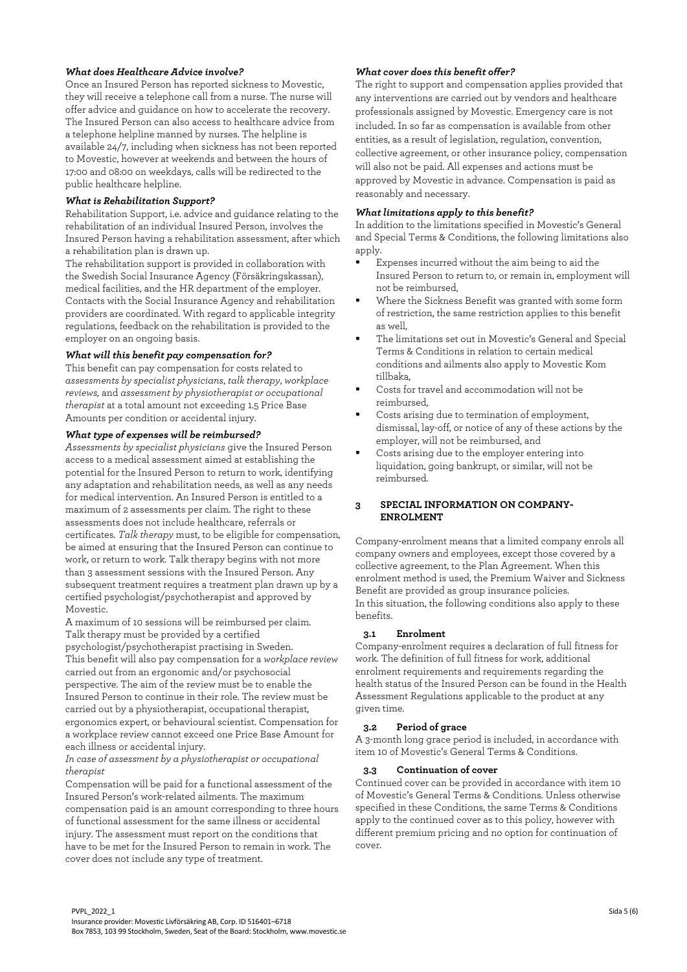## *What does Healthcare Advice involve?*

Once an Insured Person has reported sickness to Movestic, they will receive a telephone call from a nurse. The nurse will offer advice and guidance on how to accelerate the recovery. The Insured Person can also access to healthcare advice from a telephone helpline manned by nurses. The helpline is available 24/7, including when sickness has not been reported to Movestic, however at weekends and between the hours of 17:00 and 08:00 on weekdays, calls will be redirected to the public healthcare helpline.

## *What is Rehabilitation Support?*

Rehabilitation Support, i.e. advice and guidance relating to the rehabilitation of an individual Insured Person, involves the Insured Person having a rehabilitation assessment, after which a rehabilitation plan is drawn up.

The rehabilitation support is provided in collaboration with the Swedish Social Insurance Agency (Försäkringskassan), medical facilities, and the HR department of the employer. Contacts with the Social Insurance Agency and rehabilitation providers are coordinated. With regard to applicable integrity regulations, feedback on the rehabilitation is provided to the employer on an ongoing basis.

#### *What will this benefit pay compensation for?*

This benefit can pay compensation for costs related to *assessments by specialist physicians*, *talk therapy*, *workplace reviews,* and *assessment by physiotherapist or occupational therapist* at a total amount not exceeding 1.5 Price Base Amounts per condition or accidental injury.

## *What type of expenses will be reimbursed?*

*Assessments by specialist physicians* give the Insured Person access to a medical assessment aimed at establishing the potential for the Insured Person to return to work, identifying any adaptation and rehabilitation needs, as well as any needs for medical intervention. An Insured Person is entitled to a maximum of 2 assessments per claim. The right to these assessments does not include healthcare, referrals or certificates. *Talk therapy* must, to be eligible for compensation, be aimed at ensuring that the Insured Person can continue to work, or return to work. Talk therapy begins with not more than 3 assessment sessions with the Insured Person. Any subsequent treatment requires a treatment plan drawn up by a certified psychologist/psychotherapist and approved by Movestic.

A maximum of 10 sessions will be reimbursed per claim. Talk therapy must be provided by a certified psychologist/psychotherapist practising in Sweden. This benefit will also pay compensation for a *workplace review* carried out from an ergonomic and/or psychosocial perspective. The aim of the review must be to enable the Insured Person to continue in their role. The review must be carried out by a physiotherapist, occupational therapist, ergonomics expert, or behavioural scientist. Compensation for a workplace review cannot exceed one Price Base Amount for each illness or accidental injury.

#### *In case of assessment by a physiotherapist or occupational therapist*

Compensation will be paid for a functional assessment of the Insured Person's work-related ailments. The maximum compensation paid is an amount corresponding to three hours of functional assessment for the same illness or accidental injury. The assessment must report on the conditions that have to be met for the Insured Person to remain in work. The cover does not include any type of treatment.

## *What cover does this benefit offer?*

The right to support and compensation applies provided that any interventions are carried out by vendors and healthcare professionals assigned by Movestic. Emergency care is not included. In so far as compensation is available from other entities, as a result of legislation, regulation, convention, collective agreement, or other insurance policy, compensation will also not be paid. All expenses and actions must be approved by Movestic in advance. Compensation is paid as reasonably and necessary.

# *What limitations apply to this benefit?*

In addition to the limitations specified in Movestic's General and Special Terms & Conditions, the following limitations also apply.

- Expenses incurred without the aim being to aid the Insured Person to return to, or remain in, employment will not be reimbursed,
- Where the Sickness Benefit was granted with some form of restriction, the same restriction applies to this benefit as well,
- The limitations set out in Movestic's General and Special Terms & Conditions in relation to certain medical conditions and ailments also apply to Movestic Kom tillbaka,
- Costs for travel and accommodation will not be reimbursed,
- Costs arising due to termination of employment, dismissal, lay-off, or notice of any of these actions by the employer, will not be reimbursed, and
- Costs arising due to the employer entering into liquidation, going bankrupt, or similar, will not be reimbursed.

## **3 SPECIAL INFORMATION ON COMPANY-ENROLMENT**

Company-enrolment means that a limited company enrols all company owners and employees, except those covered by a collective agreement, to the Plan Agreement. When this enrolment method is used, the Premium Waiver and Sickness Benefit are provided as group insurance policies. In this situation, the following conditions also apply to these benefits.

#### **3.1 Enrolment**

Company-enrolment requires a declaration of full fitness for work. The definition of full fitness for work, additional enrolment requirements and requirements regarding the health status of the Insured Person can be found in the Health Assessment Regulations applicable to the product at any given time.

#### **3.2 Period of grace**

A 3-month long grace period is included, in accordance with item 10 of Movestic's General Terms & Conditions.

## **3.3 Continuation of cover**

Continued cover can be provided in accordance with item 10 of Movestic's General Terms & Conditions. Unless otherwise specified in these Conditions, the same Terms & Conditions apply to the continued cover as to this policy, however with different premium pricing and no option for continuation of cover.